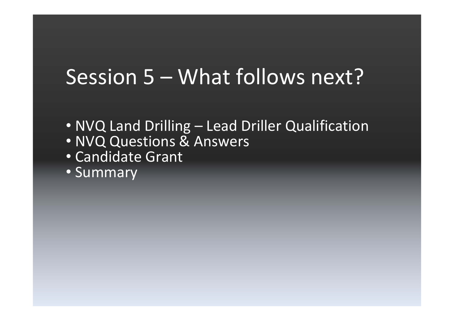## Session 5 – What follows next?

- NVQ Land Drilling Lead Driller Qualification • NVQ Questions & Answers
- Candidate Grant
- 
- Summary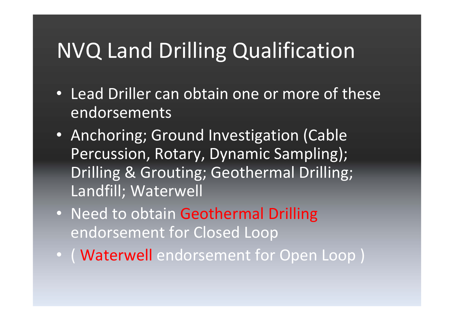# NVQ Land Drilling Qualification

- Lead Driller can obtain one or more of these endorsements
- Anchoring; Ground Investigation (Cable Percussion, Rotary, Dynamic Sampling); Drilling & Grouting; Geothermal Drilling; Landfill; Waterwell
- Need to obtain Geothermal Drilling endorsement for Closed Loop
- ( Waterwell endorsement for Open Loop )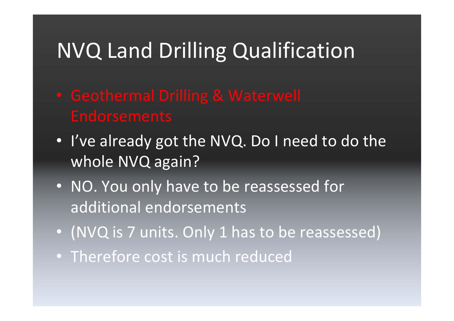# NVQ Land Drilling Qualification

- 
- I've already got the NVQ. Do I need to do the whole NVQ again?
- NO. You only have to be reassessed for additional endorsements
- (NVQ is 7 units. Only 1 has to be reassessed)
- Therefore cost is much reduced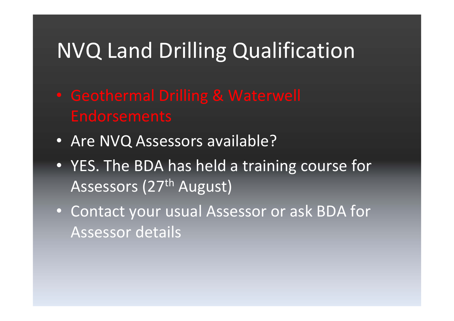# NVQ Land Drilling Qualification

- 
- Are NVQ Assessors available?
- YES. The BDA has held a training course for Assessors (27<sup>th</sup> August)
- Contact your usual Assessor or ask BDA for Assessor details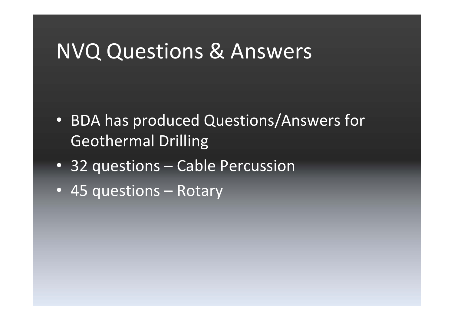- BDA has produced Questions/Answers for Geothermal Drilling
- 32 questions Cable Percussion
- 45 questions Rotary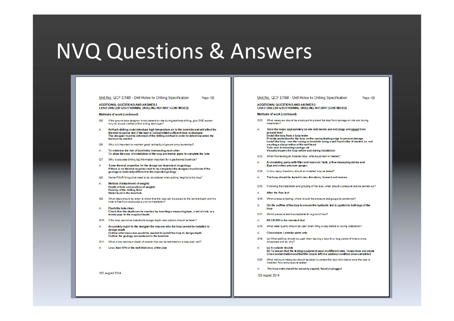### Unit No. QCF D14B - Drill Holes to Drilling Specification Page 102

**ADDITIONAL QUESTIONS AND ANSWERS** LEAD DRILLER GEOTHERMAL DRILLING ROTARY (CONTINUED)

### Methods of work (continued)

- $Q5.$ If the ground loop designer is not present on site during test hole drilling, give ONE reason why he should notified of the drilling technique?
- Airflush drilling could introduce high temperature air to the borehole and will affect the A. thermal response test if the heat is not permitted sufficient time to dissipate The designer must be informed of the drilling method in order to determine when the test can be started
- O<sub>6</sub> Why is it important to maintain good verticality of ground array boreholes?
- To minimise the risk of boreholes intersecting each other A To allow the ease of installation of the loop and tremie pipes to complete the hole
- Why is accurate drilling log information important for a geothermal borehole?  $Q7.$
- Some thermal properties for the design are dependant on geology A. If there is no thermal response test to be completed the designer must know if the geology is materially different to the expected geology
- $Q8.$ Name FOUR things that need to be considered when adding weights to the loop?
- A Method of attachment of weights Depth of hole and position of weights Density of the drilling fluid Water level in the borehole
- $Q9.$ What steps should be taken to check that the loop can be placed to the correct depth and the hole is free from obstructions prior to installation?
- $\mathbb{A}$ Flush the hole clean Check that the depth can be reached by inserting a measuring tape, a set of rods or a tremie pipe to the required depth
- Q10. If the loop cannot be installed to design depth what actions should be taken?
- Accurately report to the designer the reasons why the loop cannot be installed to  $\Delta$ design depth Outline what measures would be needed to install the loop to design depth Outline the geology encountered in the borehole
- Q11. What is the maximum depth of scratch that can be tolerated on a loop pipe wall?
- A. Less than 10% of the wall thickness of the pipe

### Unit No. QCF D14B - Drill Holes to Drilling Specification Page 103

### **ADDITIONAL QUESTIONS AND ANSWERS** LEAD DRILLER GEOTHERMAL DRILLING ROTARY (CONTINUED)

### Methods of work (continued)

- Q12. What measures should be employed to protect the loop from damage on site and during installation?
- A. Store the loops appropriately on site with bands and end plugs and raised from ground level Install the loop from a loop reeler Provide protection for the loop on the casing leading edge to prevent damage Install the loop into the casing or borehole using a well head roller if needed, i.e. not creating a sharp radius at the well head. Take care in removing casings etc Visually inspect the loop before and during installation
- Q13. When flow testing an installed loop, what equipment is needed?
- A circulating pump with filter and reservoir / tank, a flow measuring device and  $A$ flow and return pressure gauges
- Q14. In how many directions should an installed loop be tested?
- A. The loop should be lested in two directions, forward and reverse.
- Q15. Following the installation and grouting of the loop, when should a pressure test be carried out?
- A. After the flow test
- Q16. When pressure testing, where should the pressure test gauge be positioned?
- Α. On the outflow of the loop to ensure the hydraulic test is applied to both legs of the loop
- Q17. Which pressure test is acceptable for a ground loop?
- Α. BS EN 805 is the standard test
- Q18. What water quality should be used when filling a loop before or during installation?
- Clean mains / potable water only A.
- (a) What additive should be used when leaving a loop for a long period of time or once  $Q$ 19. completed and (b) why?
- A. (a) A suitable biocide (b) To ensure that the testing equipment used on different sites / loops does not create cross contamination and that the loop is left in a sanitary condition once completed
- $Q20.$ What minimum measures should be taken to protect the loop from debris once the loop is installed, flow and pressure tested
- A. The loop ends should be securely capped, fused or plugged

103 August 2014

102 August 2014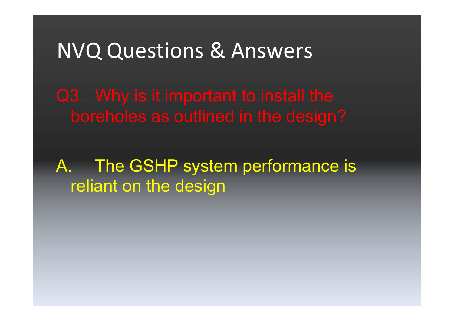A. The GSHP system performance is reliant on the design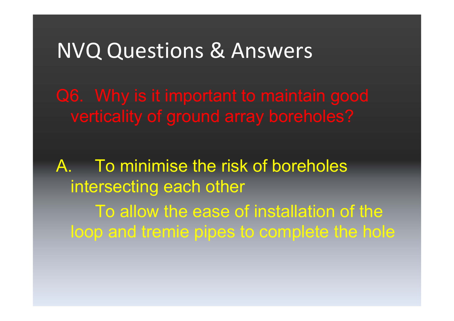A. To minimise the risk of boreholes intersecting each other To allow the ease of installation of the loop and tremie pipes to complete the hole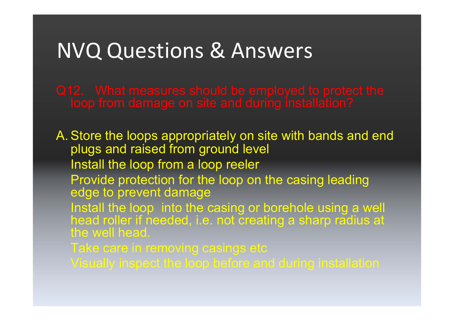A. Store the loops appropriately on site with bands and end plugs and raised from ground level Install the loop from a loop reeler Provide protection for the loop on the casing leading edge to prevent damage Install the loop into the casing or borehole using a well head roller if needed, i.e. not creating a sharp radius at the well head.

Take care in removing casings etc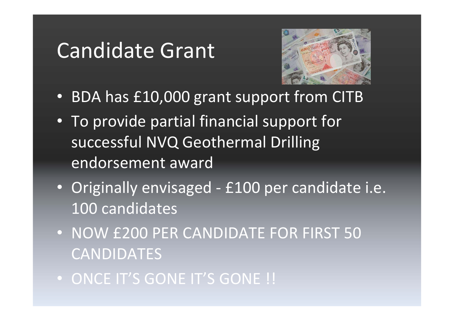## Candidate Grant



- BDA has £10,000 grant support from CITB
- To provide partial financial support for successful NVQ Geothermal Drilling endorsement award
- Originally envisaged £100 per candidate i.e. 100 candidates
- NOW £200 PER CANDIDATE FOR FIRST 50 CANDIDATES
- ONCE IT'S GONE IT'S GONE !!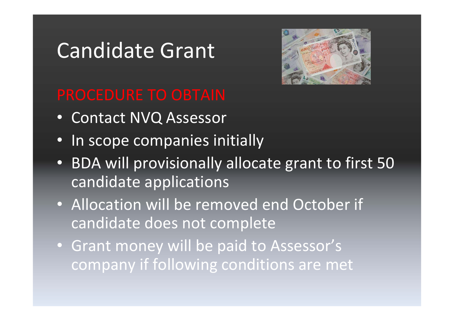## Candidate Grant



- Contact NVQ Assessor
- In scope companies initially
- BDA will provisionally allocate grant to first 50 candidate applications
- Allocation will be removed end October if candidate does not complete
- Grant money will be paid to Assessor's company if following conditions are met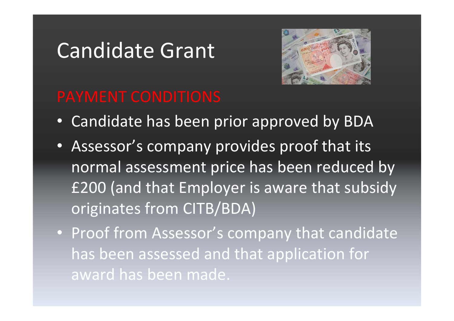## Candidate Grant



- Candidate has been prior approved by BDA
- Assessor's company provides proof that its normal assessment price has been reduced by £200 (and that Employer is aware that subsidy originates from CITB/BDA)
- Proof from Assessor's company that candidate has been assessed and that application for award has been made.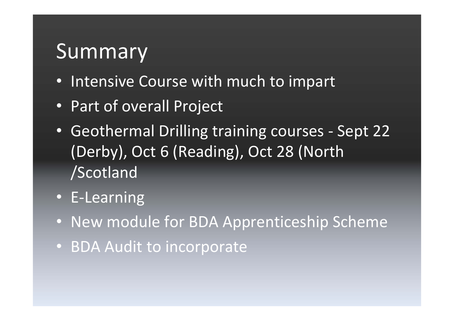## Summary

- Intensive Course with much to impart
- Part of overall Project
- Geothermal Drilling training courses ‐ Sept 22 (Derby), Oct 6 (Reading), Oct 28 (North /Scotland
- E‐Learning
- New module for BDA Apprenticeship Scheme
- BDA Audit to incorporate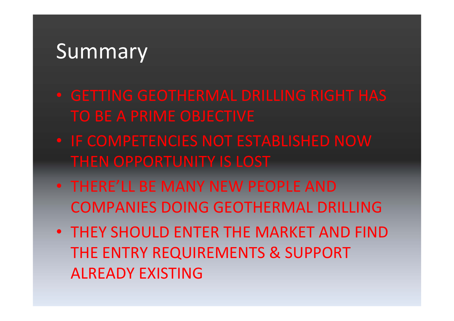## **Summary**

- 
- IF COMPETENCIES NOT ESTABLISHED NOW THEN OPPORTUNITY IS LOST
- THERE'LL BE MANY NEW PEOPLE AND COMPANIES DOING GEOTHERMAL DRILLING
- THEY SHOULD ENTER THE MARKET AND FIND THE ENTRY REQUIREMENTS & SUPPORT ALREADY EXISTING